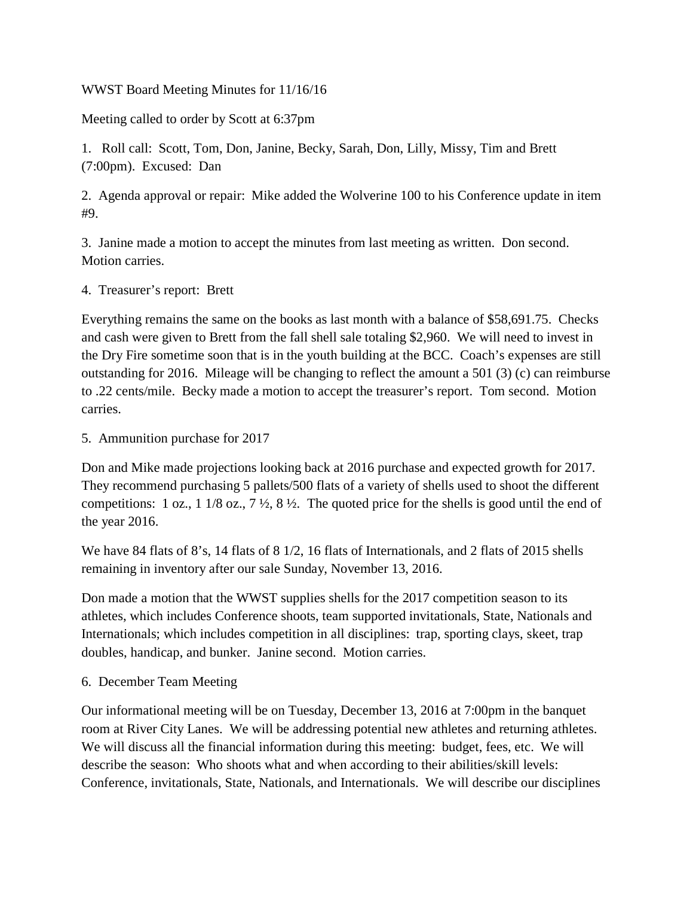## WWST Board Meeting Minutes for 11/16/16

Meeting called to order by Scott at 6:37pm

1. Roll call: Scott, Tom, Don, Janine, Becky, Sarah, Don, Lilly, Missy, Tim and Brett (7:00pm). Excused: Dan

2. Agenda approval or repair: Mike added the Wolverine 100 to his Conference update in item #9.

3. Janine made a motion to accept the minutes from last meeting as written. Don second. Motion carries.

4. Treasurer's report: Brett

Everything remains the same on the books as last month with a balance of \$58,691.75. Checks and cash were given to Brett from the fall shell sale totaling \$2,960. We will need to invest in the Dry Fire sometime soon that is in the youth building at the BCC. Coach's expenses are still outstanding for 2016. Mileage will be changing to reflect the amount a 501 (3) (c) can reimburse to .22 cents/mile. Becky made a motion to accept the treasurer's report. Tom second. Motion carries.

5. Ammunition purchase for 2017

Don and Mike made projections looking back at 2016 purchase and expected growth for 2017. They recommend purchasing 5 pallets/500 flats of a variety of shells used to shoot the different competitions: 1 oz., 1 1/8 oz., 7  $\frac{1}{2}$ , 8  $\frac{1}{2}$ . The quoted price for the shells is good until the end of the year 2016.

We have 84 flats of 8's, 14 flats of 8 1/2, 16 flats of Internationals, and 2 flats of 2015 shells remaining in inventory after our sale Sunday, November 13, 2016.

Don made a motion that the WWST supplies shells for the 2017 competition season to its athletes, which includes Conference shoots, team supported invitationals, State, Nationals and Internationals; which includes competition in all disciplines: trap, sporting clays, skeet, trap doubles, handicap, and bunker. Janine second. Motion carries.

6. December Team Meeting

Our informational meeting will be on Tuesday, December 13, 2016 at 7:00pm in the banquet room at River City Lanes. We will be addressing potential new athletes and returning athletes. We will discuss all the financial information during this meeting: budget, fees, etc. We will describe the season: Who shoots what and when according to their abilities/skill levels: Conference, invitationals, State, Nationals, and Internationals. We will describe our disciplines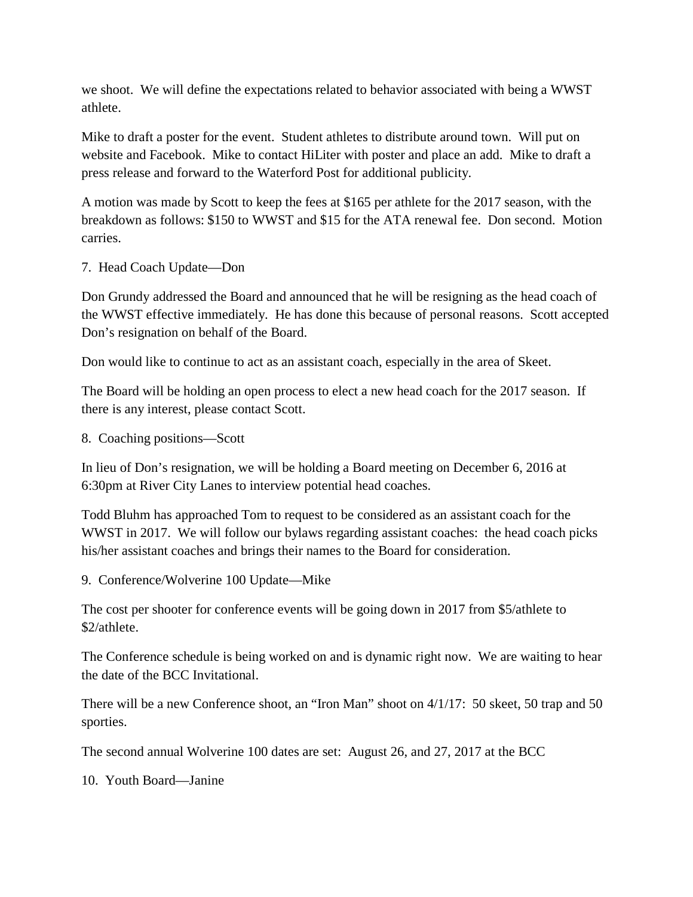we shoot. We will define the expectations related to behavior associated with being a WWST athlete.

Mike to draft a poster for the event. Student athletes to distribute around town. Will put on website and Facebook. Mike to contact HiLiter with poster and place an add. Mike to draft a press release and forward to the Waterford Post for additional publicity.

A motion was made by Scott to keep the fees at \$165 per athlete for the 2017 season, with the breakdown as follows: \$150 to WWST and \$15 for the ATA renewal fee. Don second. Motion carries.

## 7. Head Coach Update—Don

Don Grundy addressed the Board and announced that he will be resigning as the head coach of the WWST effective immediately. He has done this because of personal reasons. Scott accepted Don's resignation on behalf of the Board.

Don would like to continue to act as an assistant coach, especially in the area of Skeet.

The Board will be holding an open process to elect a new head coach for the 2017 season. If there is any interest, please contact Scott.

8. Coaching positions—Scott

In lieu of Don's resignation, we will be holding a Board meeting on December 6, 2016 at 6:30pm at River City Lanes to interview potential head coaches.

Todd Bluhm has approached Tom to request to be considered as an assistant coach for the WWST in 2017. We will follow our bylaws regarding assistant coaches: the head coach picks his/her assistant coaches and brings their names to the Board for consideration.

9. Conference/Wolverine 100 Update—Mike

The cost per shooter for conference events will be going down in 2017 from \$5/athlete to \$2/athlete.

The Conference schedule is being worked on and is dynamic right now. We are waiting to hear the date of the BCC Invitational.

There will be a new Conference shoot, an "Iron Man" shoot on 4/1/17: 50 skeet, 50 trap and 50 sporties.

The second annual Wolverine 100 dates are set: August 26, and 27, 2017 at the BCC

10. Youth Board—Janine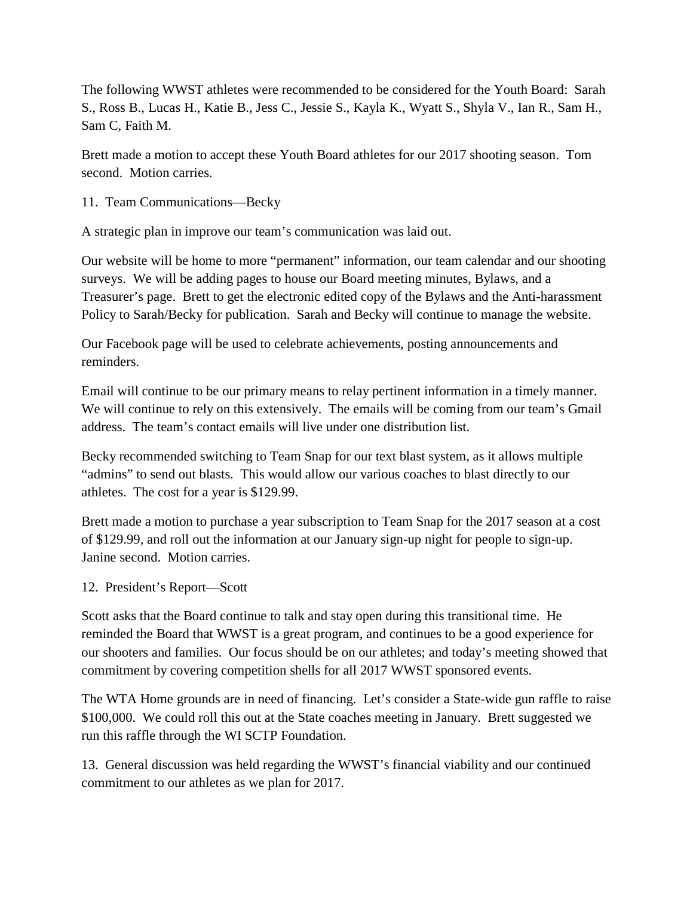The following WWST athletes were recommended to be considered for the Youth Board: Sarah S., Ross B., Lucas H., Katie B., Jess C., Jessie S., Kayla K., Wyatt S., Shyla V., Ian R., Sam H., Sam C, Faith M.

Brett made a motion to accept these Youth Board athletes for our 2017 shooting season. Tom second. Motion carries.

11. Team Communications—Becky

A strategic plan in improve our team's communication was laid out.

Our website will be home to more "permanent" information, our team calendar and our shooting surveys. We will be adding pages to house our Board meeting minutes, Bylaws, and a Treasurer's page. Brett to get the electronic edited copy of the Bylaws and the Anti-harassment Policy to Sarah/Becky for publication. Sarah and Becky will continue to manage the website.

Our Facebook page will be used to celebrate achievements, posting announcements and reminders.

Email will continue to be our primary means to relay pertinent information in a timely manner. We will continue to rely on this extensively. The emails will be coming from our team's Gmail address. The team's contact emails will live under one distribution list.

Becky recommended switching to Team Snap for our text blast system, as it allows multiple "admins" to send out blasts. This would allow our various coaches to blast directly to our athletes. The cost for a year is \$129.99.

Brett made a motion to purchase a year subscription to Team Snap for the 2017 season at a cost of \$129.99, and roll out the information at our January sign-up night for people to sign-up. Janine second. Motion carries.

## 12. President's Report—Scott

Scott asks that the Board continue to talk and stay open during this transitional time. He reminded the Board that WWST is a great program, and continues to be a good experience for our shooters and families. Our focus should be on our athletes; and today's meeting showed that commitment by covering competition shells for all 2017 WWST sponsored events.

The WTA Home grounds are in need of financing. Let's consider a State-wide gun raffle to raise \$100,000. We could roll this out at the State coaches meeting in January. Brett suggested we run this raffle through the WI SCTP Foundation.

13. General discussion was held regarding the WWST's financial viability and our continued commitment to our athletes as we plan for 2017.